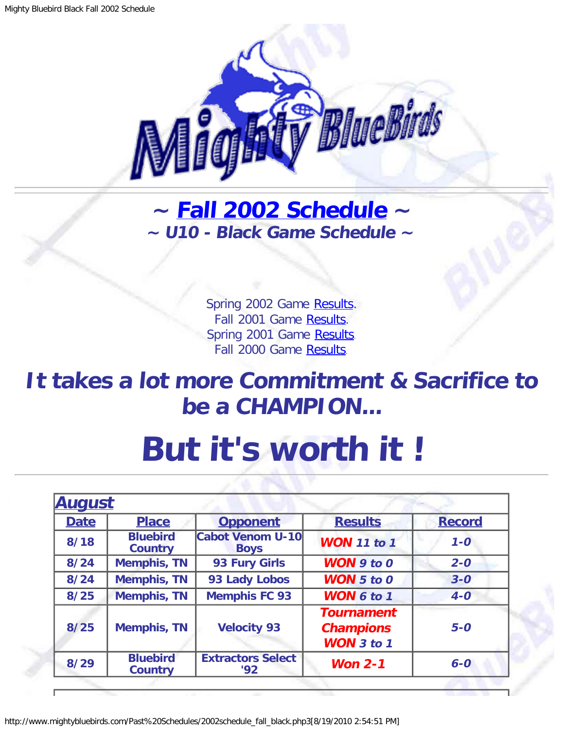

## <span id="page-0-1"></span>**~ [Fall 2002 Schedule](#page-0-0) ~ ~ U10 - Black Game Schedule ~**

Spring 2002 Game [Results.](http://www.mightybluebirds.com/Past%20Schedules/2002lb_schedule_spring.php3) Fall 2001 Game [Results.](http://www.mightybluebirds.com/Past%20Schedules/2001schedule_fall_blue.php3) Spring 2001 Game [Results.](http://www.mightybluebirds.com/Past%20Schedules/2001schedule_spring_blue.php3) Fall 2000 Game [Results.](http://www.mightybluebirds.com/Past%20Schedules/2000schedule_fall_blue.php3)

## **It takes a lot more Commitment & Sacrifice to be a CHAMPION...**

## **But it's worth it !**

<span id="page-0-0"></span>

| <b>August</b> |                                   |                                        |                                                            |               |
|---------------|-----------------------------------|----------------------------------------|------------------------------------------------------------|---------------|
| <b>Date</b>   | <b>Place</b>                      | <b>Opponent</b>                        | <b>Results</b>                                             | <b>Record</b> |
| 8/18          | <b>Bluebird</b><br><b>Country</b> | <b>Cabot Venom U-10</b><br><b>Boys</b> | <b>WON</b> 11 to 1                                         | $1 - 0$       |
| 8/24          | <b>Memphis, TN</b>                | 93 Fury Girls                          | <b>WON</b> 9 to 0                                          | $2 - 0$       |
| 8/24          | <b>Memphis, TN</b>                | 93 Lady Lobos                          | <b>WON</b> $5$ to $0$                                      | $3 - 0$       |
| 8/25          | <b>Memphis, TN</b>                | <b>Memphis FC 93</b>                   | <b>WON 6 to 1</b>                                          | $4-0$         |
| 8/25          | <b>Memphis, TN</b>                | <b>Velocity 93</b>                     | <b>Tournament</b><br><b>Champions</b><br><b>WON</b> 3 to 1 | $5-0$         |
| 8/29          | <b>Bluebird</b><br><b>Country</b> | <b>Extractors Select</b><br>92         | Won $2-1$                                                  | $6-0$         |

http://www.mightybluebirds.com/Past%20Schedules/2002schedule\_fall\_black.php3[8/19/2010 2:54:51 PM]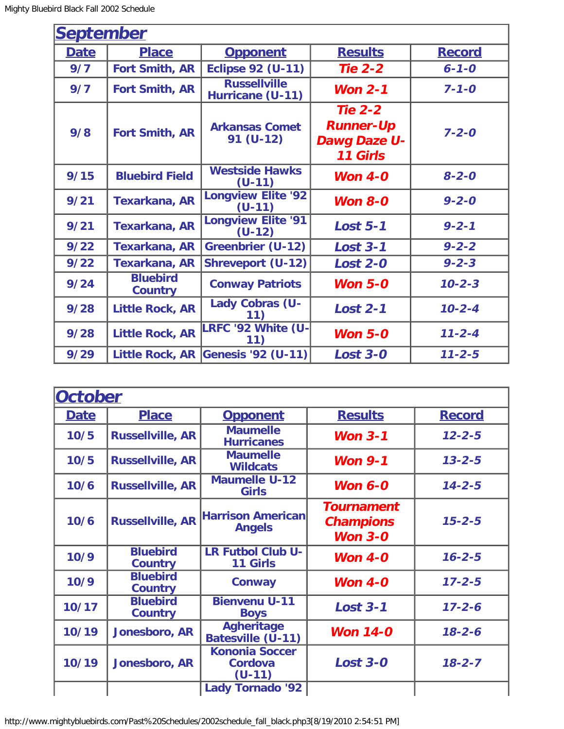r

| <b>September</b> |                                   |                                         |                                                                              |               |  |
|------------------|-----------------------------------|-----------------------------------------|------------------------------------------------------------------------------|---------------|--|
| <b>Date</b>      | <b>Place</b>                      | <b>Opponent</b>                         | <b>Results</b>                                                               | <b>Record</b> |  |
| 9/7              | <b>Fort Smith, AR</b>             | <b>Eclipse 92 (U-11)</b>                | <b>Tie 2-2</b>                                                               | $6 - 1 - 0$   |  |
| 9/7              | <b>Fort Smith, AR</b>             | <b>Russellville</b><br>Hurricane (U-11) | Won $2-1$                                                                    | $7 - 1 - 0$   |  |
| 9/8              | <b>Fort Smith, AR</b>             | <b>Arkansas Comet</b><br>91 (U-12)      | <b>Tie 2-2</b><br><b>Runner-Up</b><br><b>Dawg Daze U-</b><br><b>11 Girls</b> | $7 - 2 - 0$   |  |
| 9/15             | <b>Bluebird Field</b>             | <b>Westside Hawks</b><br>$(U-11)$       | <b>Won 4-0</b>                                                               | $8 - 2 - 0$   |  |
| 9/21             | <b>Texarkana, AR</b>              | <b>Longview Elite '92</b><br>$(U-11)$   | <b>Won 8-0</b>                                                               | $9 - 2 - 0$   |  |
| 9/21             | <b>Texarkana, AR</b>              | <b>Longview Elite '91</b><br>$(U-12)$   | <b>Lost 5-1</b>                                                              | $9 - 2 - 1$   |  |
| 9/22             | <b>Texarkana, AR</b>              | <b>Greenbrier (U-12)</b>                | <b>Lost 3-1</b>                                                              | $9 - 2 - 2$   |  |
| 9/22             | <b>Texarkana, AR</b>              | <b>Shreveport (U-12)</b>                | <b>Lost 2-0</b>                                                              | $9 - 2 - 3$   |  |
| 9/24             | <b>Bluebird</b><br><b>Country</b> | <b>Conway Patriots</b>                  | Won $5-0$                                                                    | $10 - 2 - 3$  |  |
| 9/28             | <b>Little Rock, AR</b>            | Lady Cobras (U-                         | <b>Lost 2-1</b>                                                              | $10 - 2 - 4$  |  |
| 9/28             | <b>Little Rock, AR</b>            | LRFC '92 White (U-<br>11)               | <b>Won 5-0</b>                                                               | $11 - 2 - 4$  |  |
| 9/29             | <b>Little Rock, AR</b>            | <b>Genesis '92 (U-11)</b>               | <b>Lost 3-0</b>                                                              | $11 - 2 - 5$  |  |

| October     |                                   |                                              |                                                         |               |
|-------------|-----------------------------------|----------------------------------------------|---------------------------------------------------------|---------------|
| <b>Date</b> | <b>Place</b>                      | <b>Opponent</b>                              | <b>Results</b>                                          | <b>Record</b> |
| 10/5        | <b>Russellville, AR</b>           | <b>Maumelle</b><br><b>Hurricanes</b>         | Won $3-1$                                               | $12 - 2 - 5$  |
| 10/5        | <b>Russellville, AR</b>           | <b>Maumelle</b><br><b>Wildcats</b>           | Won $9-1$                                               | $13 - 2 - 5$  |
| 10/6        | <b>Russellville, AR</b>           | <b>Maumelle U-12</b><br><b>Girls</b>         | Won $6-0$                                               | $14 - 2 - 5$  |
| 10/6        | <b>Russellville, AR</b>           | <b>Harrison American</b><br><b>Angels</b>    | <b>Tournament</b><br><b>Champions</b><br><b>Won 3-0</b> | $15 - 2 - 5$  |
| 10/9        | <b>Bluebird</b><br><b>Country</b> | <b>LR Futbol Club U-</b><br><b>11 Girls</b>  | Won $4-0$                                               | $16 - 2 - 5$  |
| 10/9        | <b>Bluebird</b><br><b>Country</b> | Conway                                       | Won $4-0$                                               | $17 - 2 - 5$  |
| 10/17       | <b>Bluebird</b><br><b>Country</b> | <b>Bienvenu U-11</b><br><b>Boys</b>          | <b>Lost 3-1</b>                                         | $17 - 2 - 6$  |
| 10/19       | Jonesboro, AR                     | <b>Agheritage</b><br>Batesville (U-11)       | <b>Won 14-0</b>                                         | $18 - 2 - 6$  |
| 10/19       | Jonesboro, AR                     | <b>Kononia Soccer</b><br>Cordova<br>$(U-11)$ | <b>Lost 3-0</b>                                         | $18 - 2 - 7$  |
|             |                                   | <b>Lady Tornado '92</b>                      |                                                         |               |